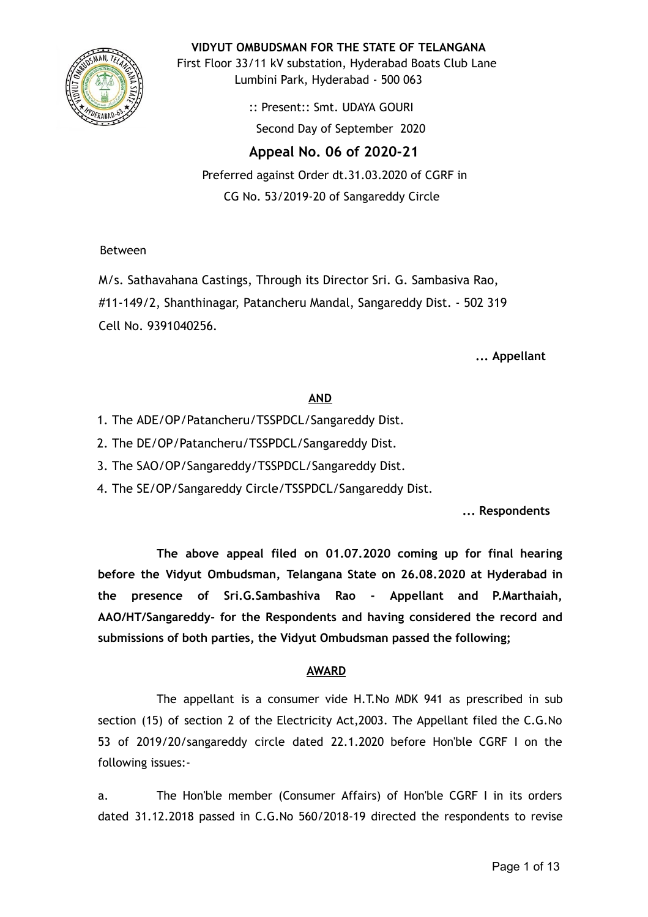

**VIDYUT OMBUDSMAN FOR THE STATE OF TELANGANA**

First Floor 33/11 kV substation, Hyderabad Boats Club Lane Lumbini Park, Hyderabad - 500 063

> :: Present:: Smt. UDAYA GOURI Second Day of September 2020

**Appeal No. 06 of 2020-21** 

Preferred against Order dt.31.03.2020 of CGRF in CG No. 53/2019-20 of Sangareddy Circle

Between

M/s. Sathavahana Castings, Through its Director Sri. G. Sambasiva Rao, #11-149/2, Shanthinagar, Patancheru Mandal, Sangareddy Dist. - 502 319 Cell No. 9391040256.

**... Appellant**

# **AND**

- 1. The ADE/OP/Patancheru/TSSPDCL/Sangareddy Dist.
- 2. The DE/OP/Patancheru/TSSPDCL/Sangareddy Dist.
- 3. The SAO/OP/Sangareddy/TSSPDCL/Sangareddy Dist.
- 4. The SE/OP/Sangareddy Circle/TSSPDCL/Sangareddy Dist.

**... Respondents**

**The above appeal filed on 01.07.2020 coming up for final hearing before the Vidyut Ombudsman, Telangana State on 26.08.2020 at Hyderabad in the presence of Sri.G.Sambashiva Rao - Appellant and P.Marthaiah, AAO/HT/Sangareddy- for the Respondents and having considered the record and submissions of both parties, the Vidyut Ombudsman passed the following;**

# **AWARD**

The appellant is a consumer vide H.T.No MDK 941 as prescribed in sub section (15) of section 2 of the Electricity Act,2003. The Appellant filed the C.G.No 53 of 2019/20/sangareddy circle dated 22.1.2020 before Hon'ble CGRF I on the following issues:-

a. The Hon'ble member (Consumer Affairs) of Hon'ble CGRF I in its orders dated 31.12.2018 passed in C.G.No 560/2018-19 directed the respondents to revise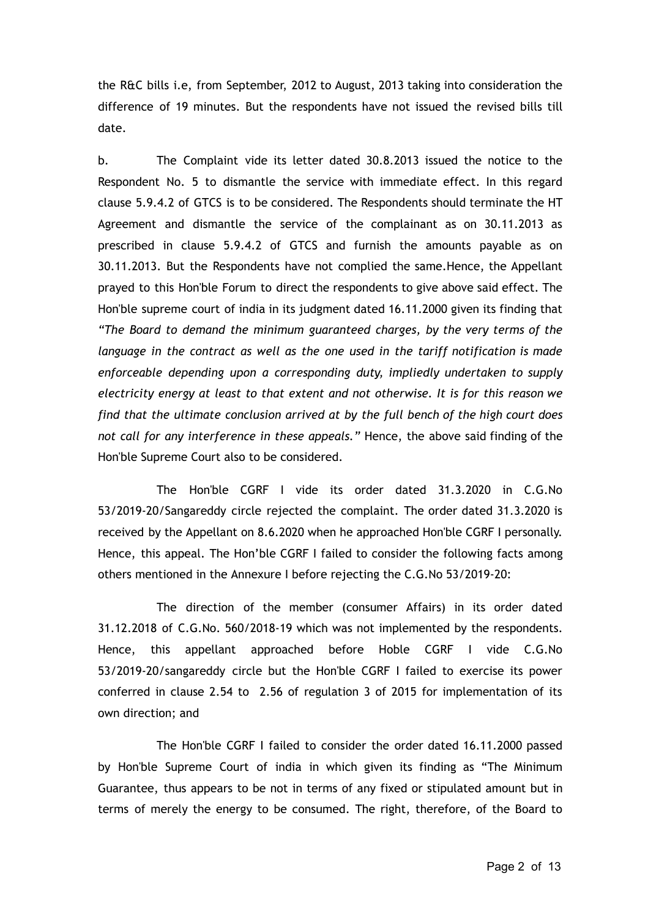the R&C bills i.e, from September, 2012 to August, 2013 taking into consideration the difference of 19 minutes. But the respondents have not issued the revised bills till date.

b. The Complaint vide its letter dated 30.8.2013 issued the notice to the Respondent No. 5 to dismantle the service with immediate effect. In this regard clause 5.9.4.2 of GTCS is to be considered. The Respondents should terminate the HT Agreement and dismantle the service of the complainant as on 30.11.2013 as prescribed in clause 5.9.4.2 of GTCS and furnish the amounts payable as on 30.11.2013. But the Respondents have not complied the same.Hence, the Appellant prayed to this Hon'ble Forum to direct the respondents to give above said effect. The Hon'ble supreme court of india in its judgment dated 16.11.2000 given its finding that *"The Board to demand the minimum guaranteed charges, by the very terms of the language in the contract as well as the one used in the tariff notification is made enforceable depending upon a corresponding duty, impliedly undertaken to supply electricity energy at least to that extent and not otherwise. It is for this reason we find that the ultimate conclusion arrived at by the full bench of the high court does not call for any interference in these appeals."* Hence, the above said finding of the Hon'ble Supreme Court also to be considered.

The Hon'ble CGRF I vide its order dated 31.3.2020 in C.G.No 53/2019-20/Sangareddy circle rejected the complaint. The order dated 31.3.2020 is received by the Appellant on 8.6.2020 when he approached Hon'ble CGRF I personally. Hence, this appeal. The Hon'ble CGRF I failed to consider the following facts among others mentioned in the Annexure I before rejecting the C.G.No 53/2019-20:

The direction of the member (consumer Affairs) in its order dated 31.12.2018 of C.G.No. 560/2018-19 which was not implemented by the respondents. Hence, this appellant approached before Hoble CGRF I vide C.G.No 53/2019-20/sangareddy circle but the Hon'ble CGRF I failed to exercise its power conferred in clause 2.54 to 2.56 of regulation 3 of 2015 for implementation of its own direction; and

The Hon'ble CGRF I failed to consider the order dated 16.11.2000 passed by Hon'ble Supreme Court of india in which given its finding as "The Minimum Guarantee, thus appears to be not in terms of any fixed or stipulated amount but in terms of merely the energy to be consumed. The right, therefore, of the Board to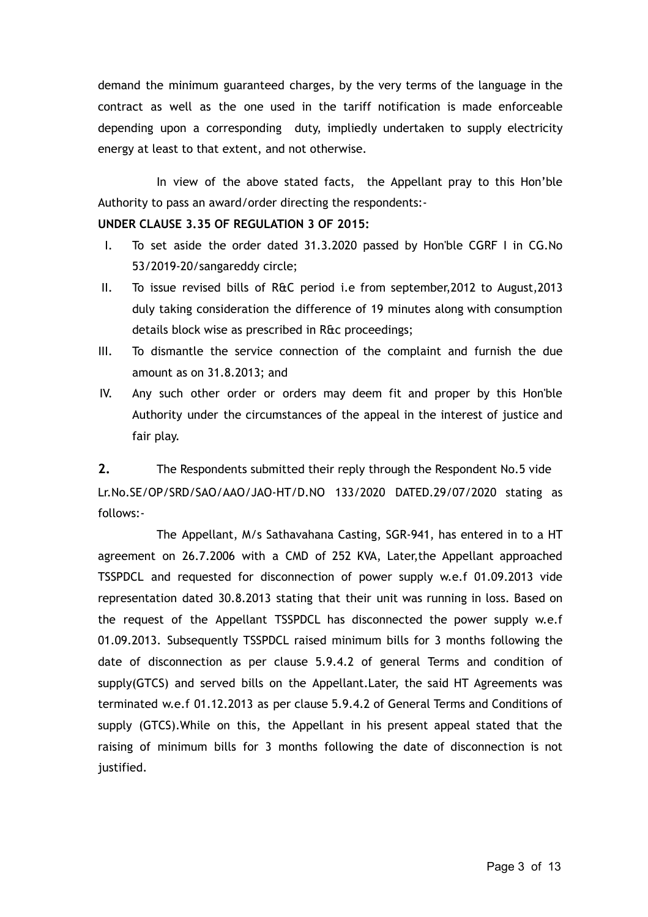demand the minimum guaranteed charges, by the very terms of the language in the contract as well as the one used in the tariff notification is made enforceable depending upon a corresponding duty, impliedly undertaken to supply electricity energy at least to that extent, and not otherwise.

In view of the above stated facts, the Appellant pray to this Hon'ble Authority to pass an award/order directing the respondents:-

## **UNDER CLAUSE 3.35 OF REGULATION 3 OF 2015:**

- I. To set aside the order dated 31.3.2020 passed by Hon'ble CGRF I in CG.No 53/2019-20/sangareddy circle;
- II. To issue revised bills of R&C period i.e from september,2012 to August,2013 duly taking consideration the difference of 19 minutes along with consumption details block wise as prescribed in R&c proceedings;
- III. To dismantle the service connection of the complaint and furnish the due amount as on 31.8.2013; and
- IV. Any such other order or orders may deem fit and proper by this Hon'ble Authority under the circumstances of the appeal in the interest of justice and fair play.

**2.** The Respondents submitted their reply through the Respondent No.5 vide Lr.No.SE/OP/SRD/SAO/AAO/JAO-HT/D.NO 133/2020 DATED.29/07/2020 stating as follows:-

The Appellant, M/s Sathavahana Casting, SGR-941, has entered in to a HT agreement on 26.7.2006 with a CMD of 252 KVA, Later,the Appellant approached TSSPDCL and requested for disconnection of power supply w.e.f 01.09.2013 vide representation dated 30.8.2013 stating that their unit was running in loss. Based on the request of the Appellant TSSPDCL has disconnected the power supply w.e.f 01.09.2013. Subsequently TSSPDCL raised minimum bills for 3 months following the date of disconnection as per clause 5.9.4.2 of general Terms and condition of supply(GTCS) and served bills on the Appellant.Later, the said HT Agreements was terminated w.e.f 01.12.2013 as per clause 5.9.4.2 of General Terms and Conditions of supply (GTCS).While on this, the Appellant in his present appeal stated that the raising of minimum bills for 3 months following the date of disconnection is not justified.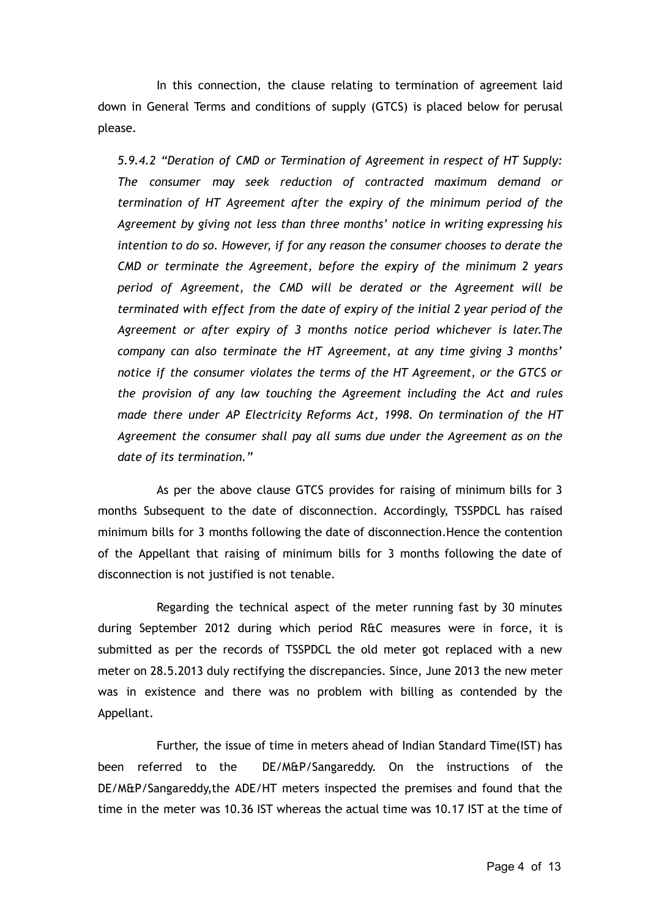In this connection, the clause relating to termination of agreement laid down in General Terms and conditions of supply (GTCS) is placed below for perusal please.

*5.9.4.2 "Deration of CMD or Termination of Agreement in respect of HT Supply: The consumer may seek reduction of contracted maximum demand or termination of HT Agreement after the expiry of the minimum period of the Agreement by giving not less than three months' notice in writing expressing his intention to do so. However, if for any reason the consumer chooses to derate the CMD or terminate the Agreement, before the expiry of the minimum 2 years period of Agreement, the CMD will be derated or the Agreement will be terminated with effect from the date of expiry of the initial 2 year period of the Agreement or after expiry of 3 months notice period whichever is later.The company can also terminate the HT Agreement, at any time giving 3 months' notice if the consumer violates the terms of the HT Agreement, or the GTCS or the provision of any law touching the Agreement including the Act and rules made there under AP Electricity Reforms Act, 1998. On termination of the HT Agreement the consumer shall pay all sums due under the Agreement as on the date of its termination."*

As per the above clause GTCS provides for raising of minimum bills for 3 months Subsequent to the date of disconnection. Accordingly, TSSPDCL has raised minimum bills for 3 months following the date of disconnection.Hence the contention of the Appellant that raising of minimum bills for 3 months following the date of disconnection is not justified is not tenable.

Regarding the technical aspect of the meter running fast by 30 minutes during September 2012 during which period R&C measures were in force, it is submitted as per the records of TSSPDCL the old meter got replaced with a new meter on 28.5.2013 duly rectifying the discrepancies. Since, June 2013 the new meter was in existence and there was no problem with billing as contended by the Appellant.

Further, the issue of time in meters ahead of Indian Standard Time(IST) has been referred to the DE/M&P/Sangareddy. On the instructions of the DE/M&P/Sangareddy,the ADE/HT meters inspected the premises and found that the time in the meter was 10.36 IST whereas the actual time was 10.17 IST at the time of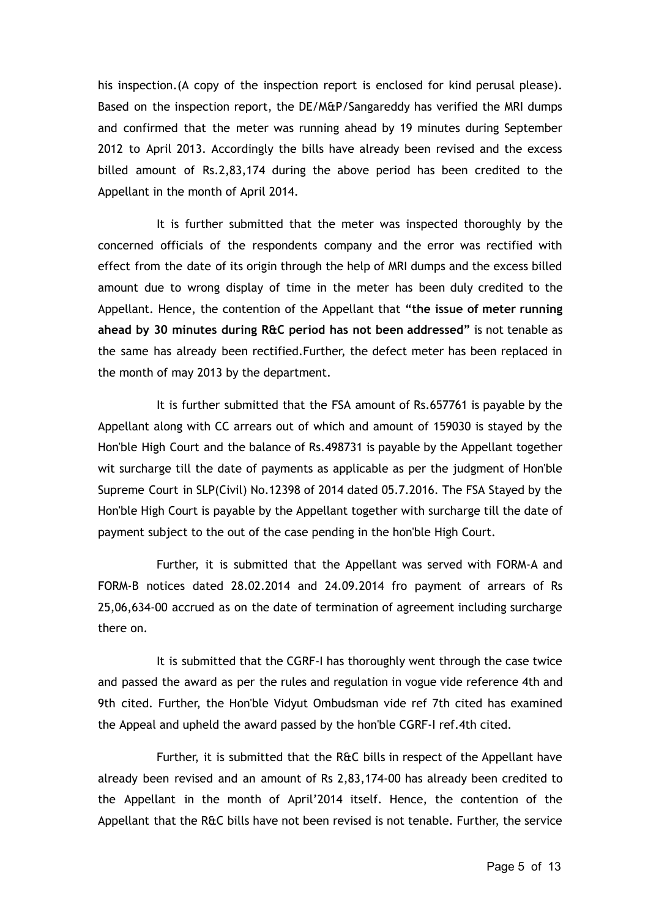his inspection.(A copy of the inspection report is enclosed for kind perusal please). Based on the inspection report, the DE/M&P/Sangareddy has verified the MRI dumps and confirmed that the meter was running ahead by 19 minutes during September 2012 to April 2013. Accordingly the bills have already been revised and the excess billed amount of Rs.2,83,174 during the above period has been credited to the Appellant in the month of April 2014.

It is further submitted that the meter was inspected thoroughly by the concerned officials of the respondents company and the error was rectified with effect from the date of its origin through the help of MRI dumps and the excess billed amount due to wrong display of time in the meter has been duly credited to the Appellant. Hence, the contention of the Appellant that **"the issue of meter running ahead by 30 minutes during R&C period has not been addressed"** is not tenable as the same has already been rectified.Further, the defect meter has been replaced in the month of may 2013 by the department.

It is further submitted that the FSA amount of Rs.657761 is payable by the Appellant along with CC arrears out of which and amount of 159030 is stayed by the Hon'ble High Court and the balance of Rs.498731 is payable by the Appellant together wit surcharge till the date of payments as applicable as per the judgment of Hon'ble Supreme Court in SLP(Civil) No.12398 of 2014 dated 05.7.2016. The FSA Stayed by the Hon'ble High Court is payable by the Appellant together with surcharge till the date of payment subject to the out of the case pending in the hon'ble High Court.

Further, it is submitted that the Appellant was served with FORM-A and FORM-B notices dated 28.02.2014 and 24.09.2014 fro payment of arrears of Rs 25,06,634-00 accrued as on the date of termination of agreement including surcharge there on.

It is submitted that the CGRF-I has thoroughly went through the case twice and passed the award as per the rules and regulation in vogue vide reference 4th and 9th cited. Further, the Hon'ble Vidyut Ombudsman vide ref 7th cited has examined the Appeal and upheld the award passed by the hon'ble CGRF-I ref.4th cited.

Further, it is submitted that the R&C bills in respect of the Appellant have already been revised and an amount of Rs 2,83,174-00 has already been credited to the Appellant in the month of April'2014 itself. Hence, the contention of the Appellant that the R&C bills have not been revised is not tenable. Further, the service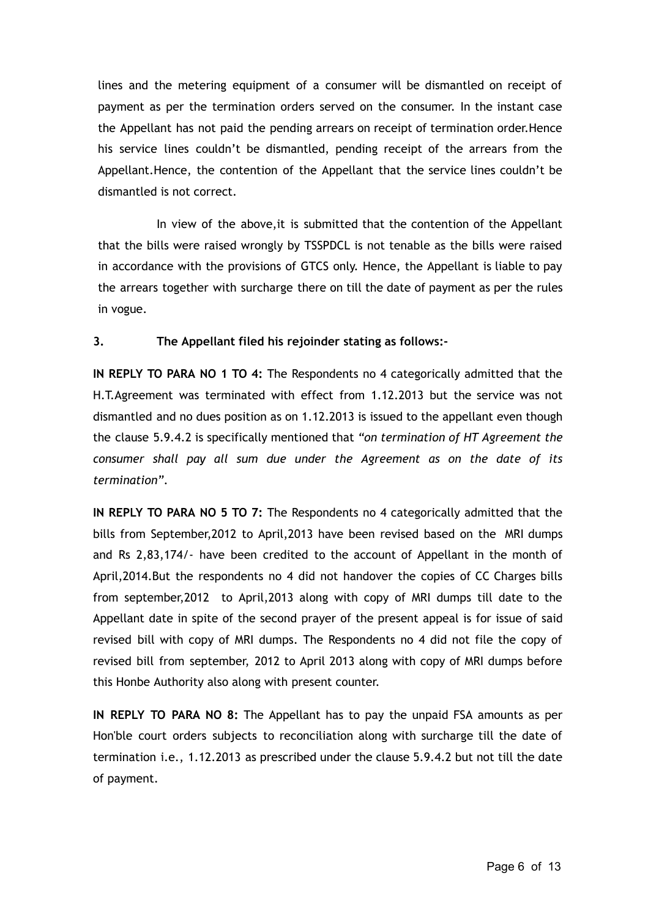lines and the metering equipment of a consumer will be dismantled on receipt of payment as per the termination orders served on the consumer. In the instant case the Appellant has not paid the pending arrears on receipt of termination order.Hence his service lines couldn't be dismantled, pending receipt of the arrears from the Appellant.Hence, the contention of the Appellant that the service lines couldn't be dismantled is not correct.

In view of the above,it is submitted that the contention of the Appellant that the bills were raised wrongly by TSSPDCL is not tenable as the bills were raised in accordance with the provisions of GTCS only. Hence, the Appellant is liable to pay the arrears together with surcharge there on till the date of payment as per the rules in vogue.

# **3. The Appellant filed his rejoinder stating as follows:-**

**IN REPLY TO PARA NO 1 TO 4:** The Respondents no 4 categorically admitted that the H.T.Agreement was terminated with effect from 1.12.2013 but the service was not dismantled and no dues position as on 1.12.2013 is issued to the appellant even though the clause 5.9.4.2 is specifically mentioned that *"on termination of HT Agreement the consumer shall pay all sum due under the Agreement as on the date of its termination"*.

**IN REPLY TO PARA NO 5 TO 7:** The Respondents no 4 categorically admitted that the bills from September,2012 to April,2013 have been revised based on the MRI dumps and Rs 2,83,174/- have been credited to the account of Appellant in the month of April,2014.But the respondents no 4 did not handover the copies of CC Charges bills from september,2012 to April,2013 along with copy of MRI dumps till date to the Appellant date in spite of the second prayer of the present appeal is for issue of said revised bill with copy of MRI dumps. The Respondents no 4 did not file the copy of revised bill from september, 2012 to April 2013 along with copy of MRI dumps before this Honbe Authority also along with present counter.

**IN REPLY TO PARA NO 8:** The Appellant has to pay the unpaid FSA amounts as per Hon'ble court orders subjects to reconciliation along with surcharge till the date of termination i.e., 1.12.2013 as prescribed under the clause 5.9.4.2 but not till the date of payment.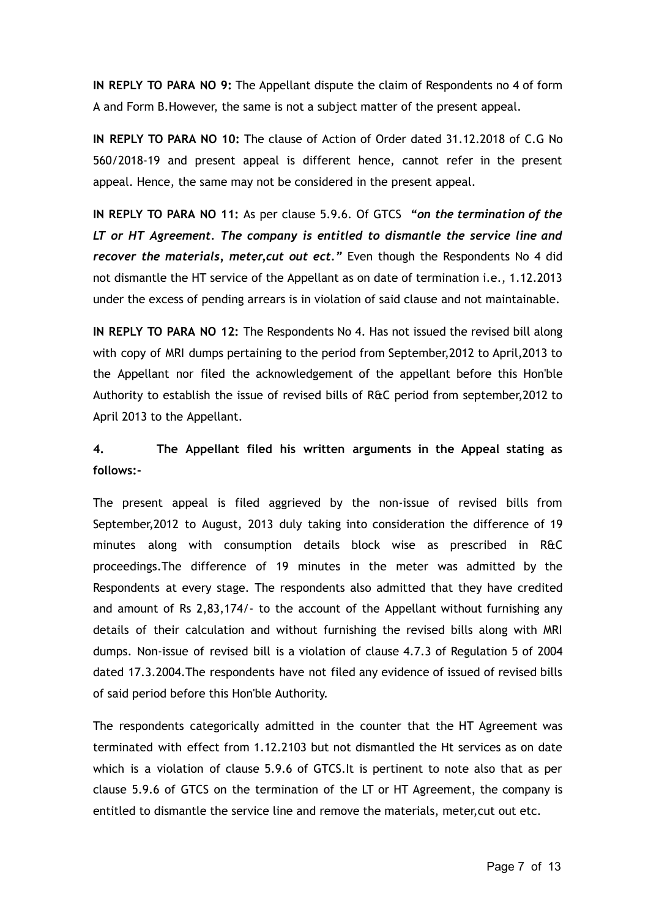**IN REPLY TO PARA NO 9:** The Appellant dispute the claim of Respondents no 4 of form A and Form B.However, the same is not a subject matter of the present appeal.

**IN REPLY TO PARA NO 10:** The clause of Action of Order dated 31.12.2018 of C.G No 560/2018-19 and present appeal is different hence, cannot refer in the present appeal. Hence, the same may not be considered in the present appeal.

**IN REPLY TO PARA NO 11:** As per clause 5.9.6. Of GTCS *"on the termination of the LT or HT Agreement. The company is entitled to dismantle the service line and recover the materials, meter,cut out ect."* Even though the Respondents No 4 did not dismantle the HT service of the Appellant as on date of termination i.e., 1.12.2013 under the excess of pending arrears is in violation of said clause and not maintainable.

**IN REPLY TO PARA NO 12:** The Respondents No 4. Has not issued the revised bill along with copy of MRI dumps pertaining to the period from September,2012 to April,2013 to the Appellant nor filed the acknowledgement of the appellant before this Hon'ble Authority to establish the issue of revised bills of R&C period from september,2012 to April 2013 to the Appellant.

# **4. The Appellant filed his written arguments in the Appeal stating as follows:-**

The present appeal is filed aggrieved by the non-issue of revised bills from September,2012 to August, 2013 duly taking into consideration the difference of 19 minutes along with consumption details block wise as prescribed in R&C proceedings.The difference of 19 minutes in the meter was admitted by the Respondents at every stage. The respondents also admitted that they have credited and amount of Rs 2,83,174/- to the account of the Appellant without furnishing any details of their calculation and without furnishing the revised bills along with MRI dumps. Non-issue of revised bill is a violation of clause 4.7.3 of Regulation 5 of 2004 dated 17.3.2004.The respondents have not filed any evidence of issued of revised bills of said period before this Hon'ble Authority.

The respondents categorically admitted in the counter that the HT Agreement was terminated with effect from 1.12.2103 but not dismantled the Ht services as on date which is a violation of clause 5.9.6 of GTCS.It is pertinent to note also that as per clause 5.9.6 of GTCS on the termination of the LT or HT Agreement, the company is entitled to dismantle the service line and remove the materials, meter,cut out etc.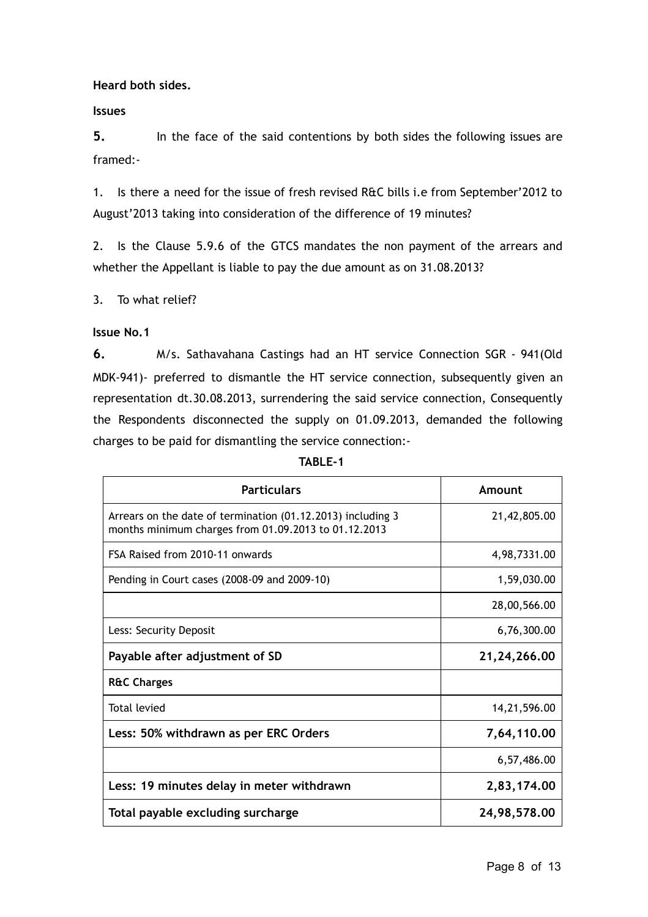**Heard both sides.**

**Issues**

**5.** In the face of the said contentions by both sides the following issues are framed:-

1. Is there a need for the issue of fresh revised R&C bills i.e from September'2012 to August'2013 taking into consideration of the difference of 19 minutes?

2. Is the Clause 5.9.6 of the GTCS mandates the non payment of the arrears and whether the Appellant is liable to pay the due amount as on 31.08.2013?

3. To what relief?

**Issue No.1** 

**6.** M/s. Sathavahana Castings had an HT service Connection SGR - 941(Old MDK-941)- preferred to dismantle the HT service connection, subsequently given an representation dt.30.08.2013, surrendering the said service connection, Consequently the Respondents disconnected the supply on 01.09.2013, demanded the following charges to be paid for dismantling the service connection:-

| <b>Particulars</b>                                                                                                  | Amount         |
|---------------------------------------------------------------------------------------------------------------------|----------------|
| Arrears on the date of termination (01.12.2013) including 3<br>months minimum charges from 01.09.2013 to 01.12.2013 | 21,42,805.00   |
| FSA Raised from 2010-11 onwards                                                                                     | 4,98,7331.00   |
| Pending in Court cases (2008-09 and 2009-10)                                                                        | 1,59,030.00    |
|                                                                                                                     | 28,00,566.00   |
| Less: Security Deposit                                                                                              | 6,76,300.00    |
| Payable after adjustment of SD                                                                                      | 21, 24, 266.00 |
| <b>R&amp;C Charges</b>                                                                                              |                |
| Total levied                                                                                                        | 14,21,596.00   |
| Less: 50% withdrawn as per ERC Orders                                                                               | 7,64,110.00    |
|                                                                                                                     | 6,57,486.00    |
| Less: 19 minutes delay in meter withdrawn                                                                           | 2,83,174.00    |
| Total payable excluding surcharge                                                                                   | 24,98,578.00   |

**TABLE-1**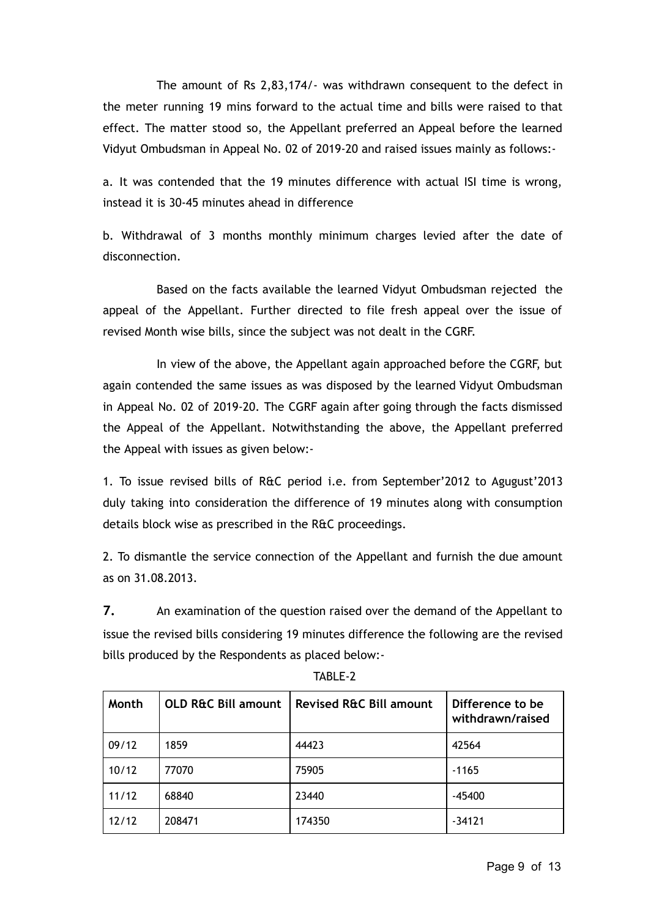The amount of Rs 2,83,174/- was withdrawn consequent to the defect in the meter running 19 mins forward to the actual time and bills were raised to that effect. The matter stood so, the Appellant preferred an Appeal before the learned Vidyut Ombudsman in Appeal No. 02 of 2019-20 and raised issues mainly as follows:-

a. It was contended that the 19 minutes difference with actual ISI time is wrong, instead it is 30-45 minutes ahead in difference

b. Withdrawal of 3 months monthly minimum charges levied after the date of disconnection.

Based on the facts available the learned Vidyut Ombudsman rejected the appeal of the Appellant. Further directed to file fresh appeal over the issue of revised Month wise bills, since the subject was not dealt in the CGRF.

In view of the above, the Appellant again approached before the CGRF, but again contended the same issues as was disposed by the learned Vidyut Ombudsman in Appeal No. 02 of 2019-20. The CGRF again after going through the facts dismissed the Appeal of the Appellant. Notwithstanding the above, the Appellant preferred the Appeal with issues as given below:-

1. To issue revised bills of R&C period i.e. from September'2012 to Agugust'2013 duly taking into consideration the difference of 19 minutes along with consumption details block wise as prescribed in the R&C proceedings.

2. To dismantle the service connection of the Appellant and furnish the due amount as on 31.08.2013.

**7.** An examination of the question raised over the demand of the Appellant to issue the revised bills considering 19 minutes difference the following are the revised bills produced by the Respondents as placed below:-

| Month | <b>OLD R&amp;C Bill amount</b> | <b>Revised R&amp;C Bill amount</b> | Difference to be<br>withdrawn/raised |
|-------|--------------------------------|------------------------------------|--------------------------------------|
| 09/12 | 1859                           | 44423                              | 42564                                |
| 10/12 | 77070                          | 75905                              | $-1165$                              |
| 11/12 | 68840                          | 23440                              | $-45400$                             |
| 12/12 | 208471                         | 174350                             | $-34121$                             |

TABLE-2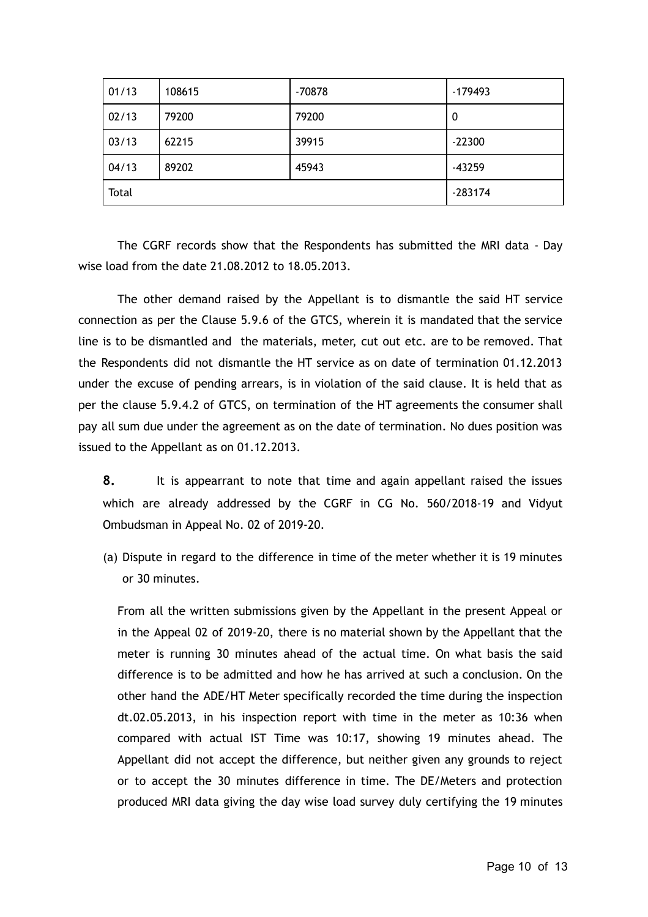| 01/13 | 108615 | $-70878$ | $-179493$ |
|-------|--------|----------|-----------|
| 02/13 | 79200  | 79200    | 0         |
| 03/13 | 62215  | 39915    | $-22300$  |
| 04/13 | 89202  | 45943    | -43259    |
| Total |        |          | $-283174$ |

The CGRF records show that the Respondents has submitted the MRI data - Day wise load from the date 21.08.2012 to 18.05.2013.

The other demand raised by the Appellant is to dismantle the said HT service connection as per the Clause 5.9.6 of the GTCS, wherein it is mandated that the service line is to be dismantled and the materials, meter, cut out etc. are to be removed. That the Respondents did not dismantle the HT service as on date of termination 01.12.2013 under the excuse of pending arrears, is in violation of the said clause. It is held that as per the clause 5.9.4.2 of GTCS, on termination of the HT agreements the consumer shall pay all sum due under the agreement as on the date of termination. No dues position was issued to the Appellant as on 01.12.2013.

**8.** It is appearrant to note that time and again appellant raised the issues which are already addressed by the CGRF in CG No. 560/2018-19 and Vidyut Ombudsman in Appeal No. 02 of 2019-20.

(a) Dispute in regard to the difference in time of the meter whether it is 19 minutes or 30 minutes.

From all the written submissions given by the Appellant in the present Appeal or in the Appeal 02 of 2019-20, there is no material shown by the Appellant that the meter is running 30 minutes ahead of the actual time. On what basis the said difference is to be admitted and how he has arrived at such a conclusion. On the other hand the ADE/HT Meter specifically recorded the time during the inspection dt.02.05.2013, in his inspection report with time in the meter as 10:36 when compared with actual IST Time was 10:17, showing 19 minutes ahead. The Appellant did not accept the difference, but neither given any grounds to reject or to accept the 30 minutes difference in time. The DE/Meters and protection produced MRI data giving the day wise load survey duly certifying the 19 minutes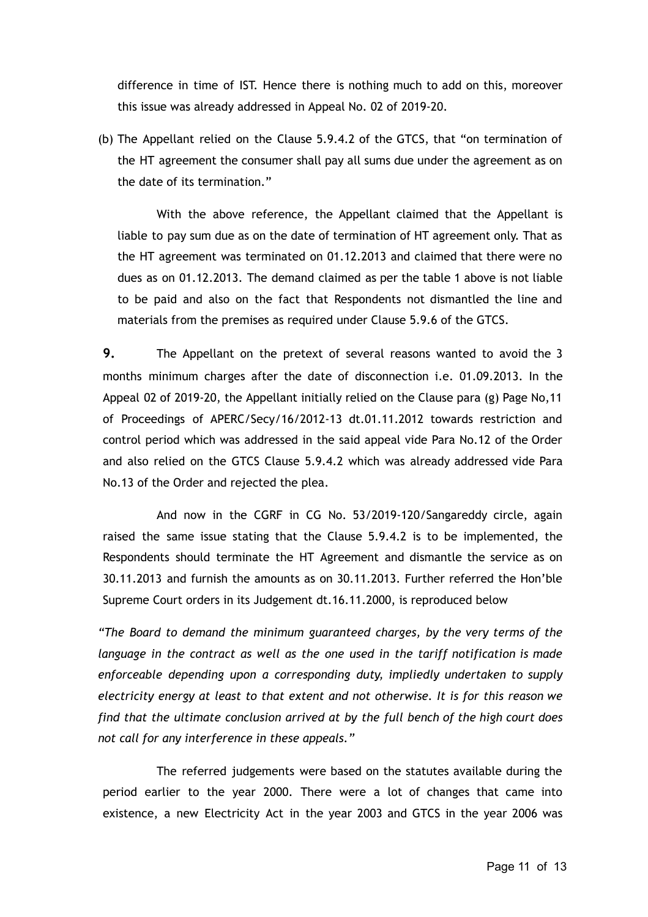difference in time of IST. Hence there is nothing much to add on this, moreover this issue was already addressed in Appeal No. 02 of 2019-20.

(b) The Appellant relied on the Clause 5.9.4.2 of the GTCS, that "on termination of the HT agreement the consumer shall pay all sums due under the agreement as on the date of its termination."

With the above reference, the Appellant claimed that the Appellant is liable to pay sum due as on the date of termination of HT agreement only. That as the HT agreement was terminated on 01.12.2013 and claimed that there were no dues as on 01.12.2013. The demand claimed as per the table 1 above is not liable to be paid and also on the fact that Respondents not dismantled the line and materials from the premises as required under Clause 5.9.6 of the GTCS.

**9.** The Appellant on the pretext of several reasons wanted to avoid the 3 months minimum charges after the date of disconnection i.e. 01.09.2013. In the Appeal 02 of 2019-20, the Appellant initially relied on the Clause para (g) Page No,11 of Proceedings of APERC/Secy/16/2012-13 dt.01.11.2012 towards restriction and control period which was addressed in the said appeal vide Para No.12 of the Order and also relied on the GTCS Clause 5.9.4.2 which was already addressed vide Para No.13 of the Order and rejected the plea.

And now in the CGRF in CG No. 53/2019-120/Sangareddy circle, again raised the same issue stating that the Clause 5.9.4.2 is to be implemented, the Respondents should terminate the HT Agreement and dismantle the service as on 30.11.2013 and furnish the amounts as on 30.11.2013. Further referred the Hon'ble Supreme Court orders in its Judgement dt.16.11.2000, is reproduced below

*"The Board to demand the minimum guaranteed charges, by the very terms of the language in the contract as well as the one used in the tariff notification is made enforceable depending upon a corresponding duty, impliedly undertaken to supply electricity energy at least to that extent and not otherwise. It is for this reason we find that the ultimate conclusion arrived at by the full bench of the high court does not call for any interference in these appeals."*

The referred judgements were based on the statutes available during the period earlier to the year 2000. There were a lot of changes that came into existence, a new Electricity Act in the year 2003 and GTCS in the year 2006 was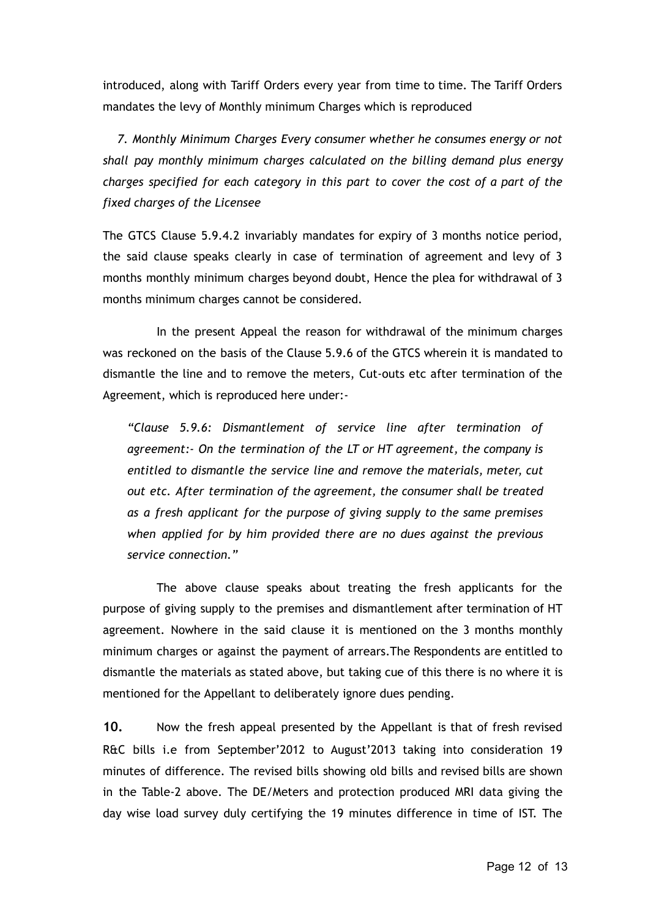introduced, along with Tariff Orders every year from time to time. The Tariff Orders mandates the levy of Monthly minimum Charges which is reproduced

*7. Monthly Minimum Charges Every consumer whether he consumes energy or not shall pay monthly minimum charges calculated on the billing demand plus energy charges specified for each category in this part to cover the cost of a part of the fixed charges of the Licensee* 

The GTCS Clause 5.9.4.2 invariably mandates for expiry of 3 months notice period, the said clause speaks clearly in case of termination of agreement and levy of 3 months monthly minimum charges beyond doubt, Hence the plea for withdrawal of 3 months minimum charges cannot be considered.

In the present Appeal the reason for withdrawal of the minimum charges was reckoned on the basis of the Clause 5.9.6 of the GTCS wherein it is mandated to dismantle the line and to remove the meters, Cut-outs etc after termination of the Agreement, which is reproduced here under:-

*"Clause 5.9.6: Dismantlement of service line after termination of agreement:- On the termination of the LT or HT agreement, the company is entitled to dismantle the service line and remove the materials, meter, cut out etc. After termination of the agreement, the consumer shall be treated as a fresh applicant for the purpose of giving supply to the same premises when applied for by him provided there are no dues against the previous service connection."*

The above clause speaks about treating the fresh applicants for the purpose of giving supply to the premises and dismantlement after termination of HT agreement. Nowhere in the said clause it is mentioned on the 3 months monthly minimum charges or against the payment of arrears.The Respondents are entitled to dismantle the materials as stated above, but taking cue of this there is no where it is mentioned for the Appellant to deliberately ignore dues pending.

**10.** Now the fresh appeal presented by the Appellant is that of fresh revised R&C bills i.e from September'2012 to August'2013 taking into consideration 19 minutes of difference. The revised bills showing old bills and revised bills are shown in the Table-2 above. The DE/Meters and protection produced MRI data giving the day wise load survey duly certifying the 19 minutes difference in time of IST. The